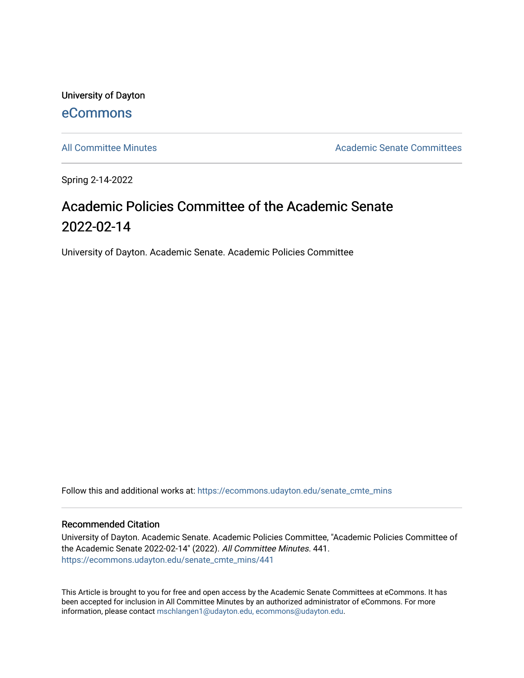University of Dayton [eCommons](https://ecommons.udayton.edu/)

[All Committee Minutes](https://ecommons.udayton.edu/senate_cmte_mins) **Academic Senate Committees** 

Spring 2-14-2022

## Academic Policies Committee of the Academic Senate 2022-02-14

University of Dayton. Academic Senate. Academic Policies Committee

Follow this and additional works at: [https://ecommons.udayton.edu/senate\\_cmte\\_mins](https://ecommons.udayton.edu/senate_cmte_mins?utm_source=ecommons.udayton.edu%2Fsenate_cmte_mins%2F441&utm_medium=PDF&utm_campaign=PDFCoverPages)

## Recommended Citation

University of Dayton. Academic Senate. Academic Policies Committee, "Academic Policies Committee of the Academic Senate 2022-02-14" (2022). All Committee Minutes. 441. [https://ecommons.udayton.edu/senate\\_cmte\\_mins/441](https://ecommons.udayton.edu/senate_cmte_mins/441?utm_source=ecommons.udayton.edu%2Fsenate_cmte_mins%2F441&utm_medium=PDF&utm_campaign=PDFCoverPages)

This Article is brought to you for free and open access by the Academic Senate Committees at eCommons. It has been accepted for inclusion in All Committee Minutes by an authorized administrator of eCommons. For more information, please contact [mschlangen1@udayton.edu, ecommons@udayton.edu](mailto:mschlangen1@udayton.edu,%20ecommons@udayton.edu).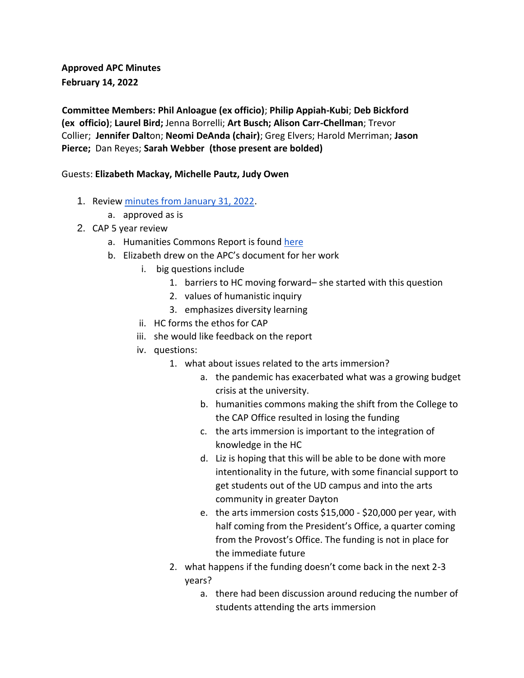**Approved APC Minutes February 14, 2022** 

**Committee Members: Phil Anloague (ex officio)**; **Philip Appiah-Kubi**; **Deb Bickford (ex officio)**; **Laurel Bird;** Jenna Borrelli; **Art Busch; Alison Carr-Chellman**; Trevor Collier; **Jennifer Dalt**on; **Neomi DeAnda (chair)**; Greg Elvers; Harold Merriman; **Jason Pierce;** Dan Reyes; **Sarah Webber (those present are bolded)**

Guests: **Elizabeth Mackay, Michelle Pautz, Judy Owen**

- 1. Review [minutes from January 31, 2022.](https://docs.google.com/document/d/1r6D8sD7EMHi_vOdIut0HurbndWvLGJxW/edit)
	- a. approved as is
- 2. CAP 5 year review
	- a. Humanities Commons Report is found [here](https://docs.google.com/document/d/140dN0bNju_a3ciZmvzb6w-ihlxdhD4SC/edit?usp=sharing&ouid=102422338508736516280&rtpof=true&sd=true)
	- b. Elizabeth drew on the APC's document for her work
		- i. big questions include
			- 1. barriers to HC moving forward– she started with this question
			- 2. values of humanistic inquiry
			- 3. emphasizes diversity learning
		- ii. HC forms the ethos for CAP
		- iii. she would like feedback on the report
		- iv. questions:
			- 1. what about issues related to the arts immersion?
				- a. the pandemic has exacerbated what was a growing budget crisis at the university.
				- b. humanities commons making the shift from the College to the CAP Office resulted in losing the funding
				- c. the arts immersion is important to the integration of knowledge in the HC
				- d. Liz is hoping that this will be able to be done with more intentionality in the future, with some financial support to get students out of the UD campus and into the arts community in greater Dayton
				- e. the arts immersion costs \$15,000 \$20,000 per year, with half coming from the President's Office, a quarter coming from the Provost's Office. The funding is not in place for the immediate future
			- 2. what happens if the funding doesn't come back in the next 2-3 years?
				- a. there had been discussion around reducing the number of students attending the arts immersion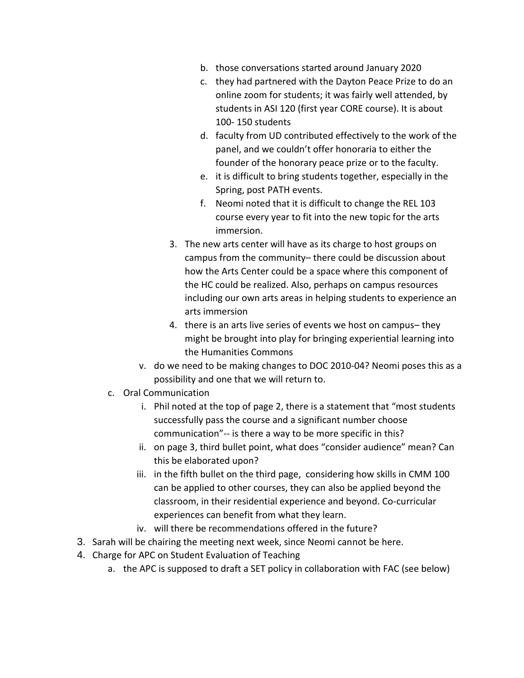- b. those conversations started around January 2020
- c. they had partnered with the Dayton Peace Prize to do an online zoom for students; it was fairly well attended, by students in ASI 120 (first year CORE course). It is about 100- 150 students
- d. faculty from UD contributed effectively to the work of the panel, and we couldn't offer honoraria to either the founder of the honorary peace prize or to the faculty.
- e. it is difficult to bring students together, especially in the Spring, post PATH events.
- f. Neomi noted that it is difficult to change the REL 103 course every year to fit into the new topic for the arts immersion.
- 3. The new arts center will have as its charge to host groups on campus from the community– there could be discussion about how the Arts Center could be a space where this component of the HC could be realized. Also, perhaps on campus resources including our own arts areas in helping students to experience an arts immersion
- 4. there is an arts live series of events we host on campus– they might be brought into play for bringing experiential learning into the Humanities Commons
- v. do we need to be making changes to DOC 2010-04? Neomi poses this as a possibility and one that we will return to.
- c. Oral Communication
	- i. Phil noted at the top of page 2, there is a statement that "most students successfully pass the course and a significant number choose communication"-- is there a way to be more specific in this?
	- ii. on page 3, third bullet point, what does "consider audience" mean? Can this be elaborated upon?
	- iii. in the fifth bullet on the third page, considering how skills in CMM 100 can be applied to other courses, they can also be applied beyond the classroom, in their residential experience and beyond. Co-curricular experiences can benefit from what they learn.
	- iv. will there be recommendations offered in the future?
- 3. Sarah will be chairing the meeting next week, since Neomi cannot be here.
- 4. Charge for APC on Student Evaluation of Teaching
	- a. the APC is supposed to draft a SET policy in collaboration with FAC (see below)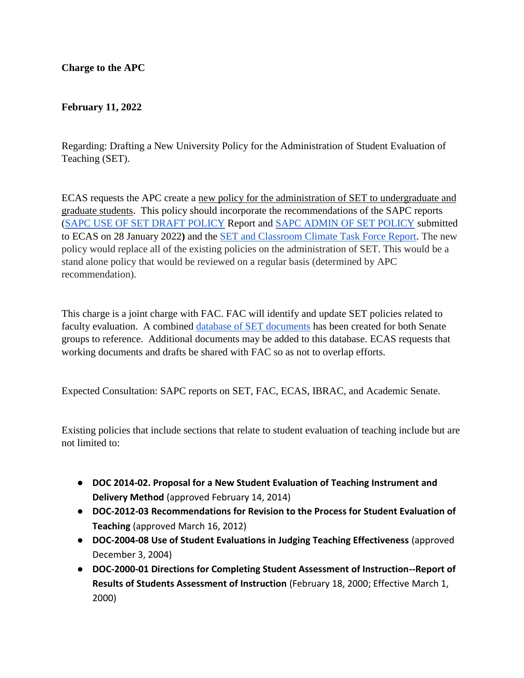## **Charge to the APC**

## **February 11, 2022**

Regarding: Drafting a New University Policy for the Administration of Student Evaluation of Teaching (SET).

ECAS requests the APC create a new policy for the administration of SET to undergraduate and graduate students. This policy should incorporate the recommendations of the SAPC reports [\(SAPC USE OF SET DRAFT POLICY](https://docs.google.com/document/d/1gn5f_7b62W0iTQSeWEMbdbBMFbChyOmP/edit?usp=sharing&ouid=114374222774523335638&rtpof=true&sd=true) Report and [SAPC ADMIN OF SET POLICY](https://docs.google.com/document/d/1qlrsVA5rXwRa12CIRThOKoUo9WHMd_vr/edit?usp=sharing&ouid=114374222774523335638&rtpof=true&sd=true) submitted to ECAS on 28 January 2022**)** and the [SET and Classroom Climate Task Force Report.](https://docs.google.com/document/d/17Q7jxT-yR22Fh7ZUhqPHlVR7F1GMMBx4YKAhWsXY5ls/edit?usp=sharing) The new policy would replace all of the existing policies on the administration of SET. This would be a stand alone policy that would be reviewed on a regular basis (determined by APC recommendation).

This charge is a joint charge with FAC. FAC will identify and update SET policies related to faculty evaluation. A combined [database of SET documents](https://docs.google.com/spreadsheets/d/1eHxWGsjOHM7uqrhFT24f4xW7uA2ypZl7rqKI8F2lxPk/edit?usp=sharing) has been created for both Senate groups to reference. Additional documents may be added to this database. ECAS requests that working documents and drafts be shared with FAC so as not to overlap efforts.

Expected Consultation: SAPC reports on SET, FAC, ECAS, IBRAC, and Academic Senate.

Existing policies that include sections that relate to student evaluation of teaching include but are not limited to:

- **DOC 2014-02. Proposal for a New Student Evaluation of Teaching Instrument and Delivery Method** (approved February 14, 2014)
- **DOC-2012-03 Recommendations for Revision to the Process for Student Evaluation of Teaching** (approved March 16, 2012)
- **DOC-2004-08 Use of Student Evaluations in Judging Teaching Effectiveness** (approved December 3, 2004)
- **DOC-2000-01 Directions for Completing Student Assessment of Instruction--Report of Results of Students Assessment of Instruction** (February 18, 2000; Effective March 1, 2000)